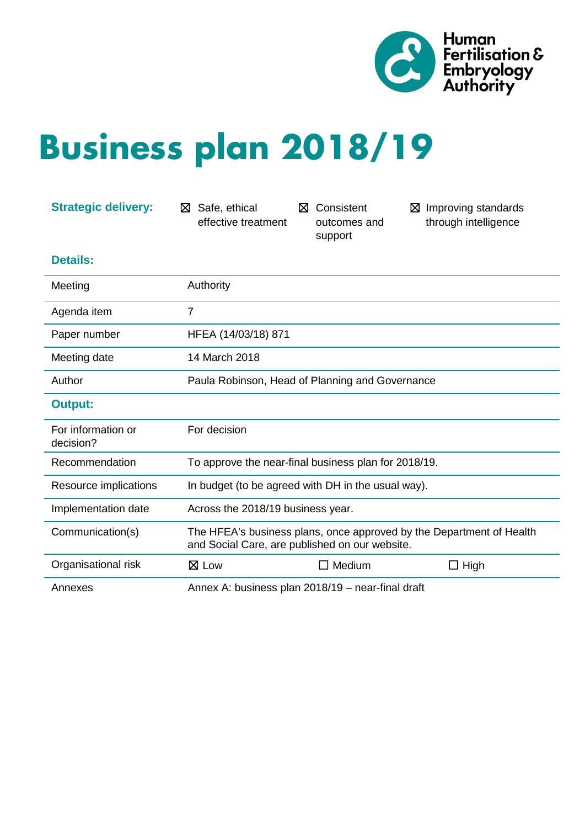

# **Business plan 2018/19**

| <b>Strategic delivery:</b>      | Safe, ethical<br>⊠<br>effective treatment                                                                              | Consistent<br>⊠<br>outcomes and<br>support | Improving standards<br>⊠<br>through intelligence |
|---------------------------------|------------------------------------------------------------------------------------------------------------------------|--------------------------------------------|--------------------------------------------------|
| <b>Details:</b>                 |                                                                                                                        |                                            |                                                  |
| Meeting                         | Authority                                                                                                              |                                            |                                                  |
| Agenda item                     | 7                                                                                                                      |                                            |                                                  |
| Paper number                    | HFEA (14/03/18) 871                                                                                                    |                                            |                                                  |
| Meeting date                    | 14 March 2018                                                                                                          |                                            |                                                  |
| Author                          | Paula Robinson, Head of Planning and Governance                                                                        |                                            |                                                  |
| <b>Output:</b>                  |                                                                                                                        |                                            |                                                  |
| For information or<br>decision? | For decision                                                                                                           |                                            |                                                  |
| Recommendation                  | To approve the near-final business plan for 2018/19.                                                                   |                                            |                                                  |
| Resource implications           | In budget (to be agreed with DH in the usual way).                                                                     |                                            |                                                  |
| Implementation date             | Across the 2018/19 business year.                                                                                      |                                            |                                                  |
| Communication(s)                | The HFEA's business plans, once approved by the Department of Health<br>and Social Care, are published on our website. |                                            |                                                  |
| Organisational risk             | $\boxtimes$ Low                                                                                                        | $\Box$ Medium                              | $\Box$ High                                      |
| Annexes                         | Annex A: business plan 2018/19 - near-final draft                                                                      |                                            |                                                  |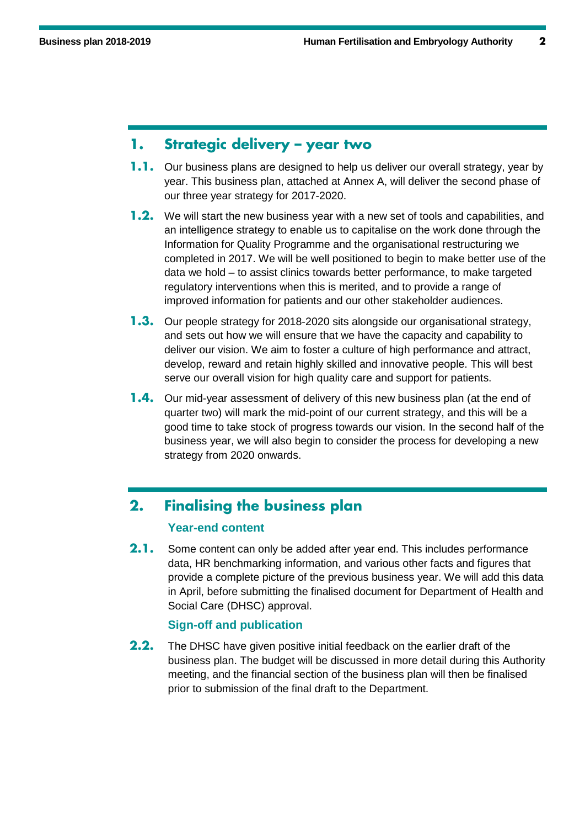### **1. Strategic delivery – year two**

- **1.1.** Our business plans are designed to help us deliver our overall strategy, year by year. This business plan, attached at Annex A, will deliver the second phase of our three year strategy for 2017-2020.
- **1.2.** We will start the new business year with a new set of tools and capabilities, and an intelligence strategy to enable us to capitalise on the work done through the Information for Quality Programme and the organisational restructuring we completed in 2017. We will be well positioned to begin to make better use of the data we hold – to assist clinics towards better performance, to make targeted regulatory interventions when this is merited, and to provide a range of improved information for patients and our other stakeholder audiences.
- **1.3.** Our people strategy for 2018-2020 sits alongside our organisational strategy, and sets out how we will ensure that we have the capacity and capability to deliver our vision. We aim to foster a culture of high performance and attract, develop, reward and retain highly skilled and innovative people. This will best serve our overall vision for high quality care and support for patients.
- **1.4.** Our mid-year assessment of delivery of this new business plan (at the end of quarter two) will mark the mid-point of our current strategy, and this will be a good time to take stock of progress towards our vision. In the second half of the business year, we will also begin to consider the process for developing a new strategy from 2020 onwards.

# **2. Finalising the business plan**

#### **Year-end content**

**2.1.** Some content can only be added after year end. This includes performance data, HR benchmarking information, and various other facts and figures that provide a complete picture of the previous business year. We will add this data in April, before submitting the finalised document for Department of Health and Social Care (DHSC) approval.

#### **Sign-off and publication**

**2.2.** The DHSC have given positive initial feedback on the earlier draft of the business plan. The budget will be discussed in more detail during this Authority meeting, and the financial section of the business plan will then be finalised prior to submission of the final draft to the Department.